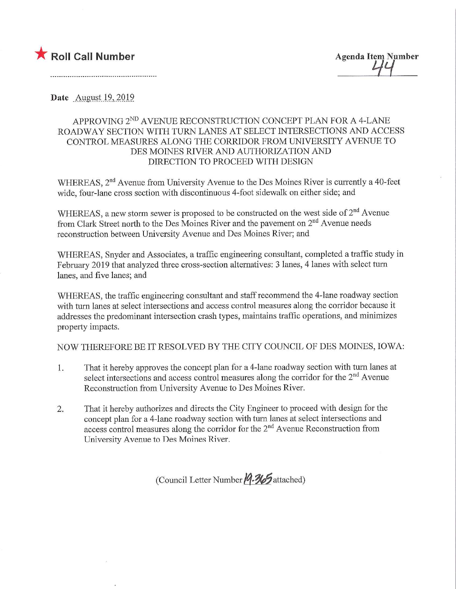

Date August 19, 2019

## APPROVING 2<sup>ND</sup> AVENUE RECONSTRUCTION CONCEPT PLAN FOR A 4-LANE ROADWAY SECTION WITH TURN LANES AT SELECT INTERSECTIONS AND ACCESS CONTROL MEASURES ALONG THE CORRIDOR FROM UNIVERSITY AVENUE TO DES MOINES RIVER AND AUTHORIZATION AND DIRECTION TO PROCEED WITH DESIGN

WHEREAS, 2<sup>nd</sup> Avenue from University Avenue to the Des Moines River is currently a 40-feet wide, four-lane cross section with discontinuous 4-foot sidewalk on either side; and

WHEREAS, a new storm sewer is proposed to be constructed on the west side of 2<sup>nd</sup> Avenue from Clark Street north to the Des Moines River and the pavement on 2<sup>nd</sup> Avenue needs reconstruction between University Avenue and Des Moines River; and

WHEREAS, Snyder and Associates, a traffic engineering consultant, completed a traffic study in February 2019 that analyzed three cross-section alternatives: 3 lanes, 4 lanes with select turn lanes, and five lanes; and

WHEREAS, the traffic engineering consultant and staff recommend the 4-lane roadway section with turn lanes at select intersections and access control measures along the corridor because it addresses the predominant intersection crash types, maintains traffic operations, and minimizes property impacts.

NOW THEREFORE BE IT RESOLVED BY THE CITY COUNCIL OF DES MOINES, IOWA:

- 1. That it hereby approves the concept plan for a 4-lane roadway section with turn lanes at select intersections and access control measures along the corridor for the 2<sup>nd</sup> Avenue Reconstruction from University Avenue to Des Moines River.
- 2. That it hereby authorizes and directs the City Engineer to proceed with design for the concept plan for a 4-lane roadway section with turn lanes at select intersections and access control measures along the corridor for the 2" Avenue Reconstruction from University Avenue to Des Moines Kiver.

(Council Letter Number  $/4.36$  attached)